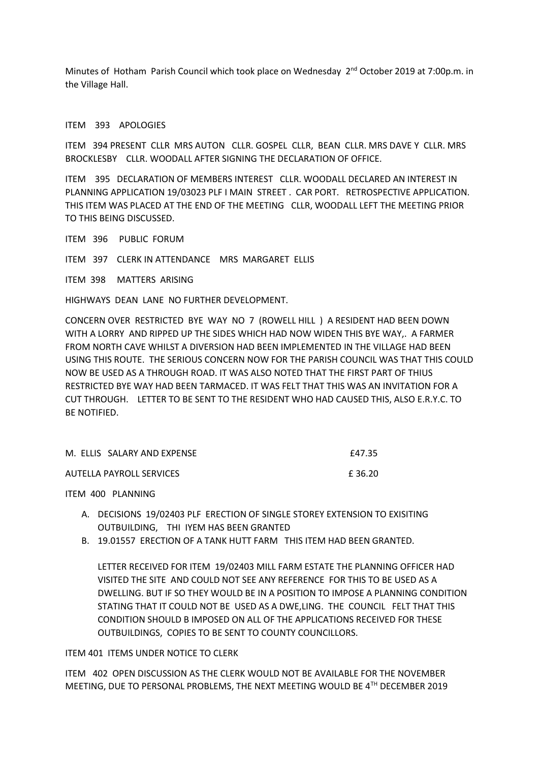Minutes of Hotham Parish Council which took place on Wednesday 2<sup>nd</sup> October 2019 at 7:00p.m. in the Village Hall.

## ITEM 393 APOLOGIES

ITEM 394 PRESENT CLLR MRS AUTON CLLR. GOSPEL CLLR, BEAN CLLR. MRS DAVE Y CLLR. MRS BROCKLESBY CLLR. WOODALL AFTER SIGNING THE DECLARATION OF OFFICE.

ITEM 395 DECLARATION OF MEMBERS INTEREST CLLR. WOODALL DECLARED AN INTEREST IN PLANNING APPLICATION 19/03023 PLF I MAIN STREET . CAR PORT. RETROSPECTIVE APPLICATION. THIS ITEM WAS PLACED AT THE END OF THE MEETING CLLR, WOODALL LEFT THE MEETING PRIOR TO THIS BEING DISCUSSED.

ITEM 396 PUBLIC FORUM

ITEM 397 CLERK IN ATTENDANCE MRS MARGARET ELLIS

ITEM 398 MATTERS ARISING

HIGHWAYS DEAN LANE NO FURTHER DEVELOPMENT.

CONCERN OVER RESTRICTED BYE WAY NO 7 (ROWELL HILL ) A RESIDENT HAD BEEN DOWN WITH A LORRY AND RIPPED UP THE SIDES WHICH HAD NOW WIDEN THIS BYE WAY,. A FARMER FROM NORTH CAVE WHILST A DIVERSION HAD BEEN IMPLEMENTED IN THE VILLAGE HAD BEEN USING THIS ROUTE. THE SERIOUS CONCERN NOW FOR THE PARISH COUNCIL WAS THAT THIS COULD NOW BE USED AS A THROUGH ROAD. IT WAS ALSO NOTED THAT THE FIRST PART OF THIUS RESTRICTED BYE WAY HAD BEEN TARMACED. IT WAS FELT THAT THIS WAS AN INVITATION FOR A CUT THROUGH. LETTER TO BE SENT TO THE RESIDENT WHO HAD CAUSED THIS, ALSO E.R.Y.C. TO BE NOTIFIED.

| M. ELLIS SALARY AND EXPENSE | £47.35 |
|-----------------------------|--------|
| AUTELLA PAYROLL SERVICES    | £36.20 |

ITEM 400 PLANNING

- A. DECISIONS 19/02403 PLF ERECTION OF SINGLE STOREY EXTENSION TO EXISITING OUTBUILDING, THI IYEM HAS BEEN GRANTED
- B. 19.01557 ERECTION OF A TANK HUTT FARM THIS ITEM HAD BEEN GRANTED.

LETTER RECEIVED FOR ITEM 19/02403 MILL FARM ESTATE THE PLANNING OFFICER HAD VISITED THE SITE AND COULD NOT SEE ANY REFERENCE FOR THIS TO BE USED AS A DWELLING. BUT IF SO THEY WOULD BE IN A POSITION TO IMPOSE A PLANNING CONDITION STATING THAT IT COULD NOT BE USED AS A DWE,LING. THE COUNCIL FELT THAT THIS CONDITION SHOULD B IMPOSED ON ALL OF THE APPLICATIONS RECEIVED FOR THESE OUTBUILDINGS, COPIES TO BE SENT TO COUNTY COUNCILLORS.

ITEM 401 ITEMS UNDER NOTICE TO CLERK

ITEM 402 OPEN DISCUSSION AS THE CLERK WOULD NOT BE AVAILABLE FOR THE NOVEMBER MEETING, DUE TO PERSONAL PROBLEMS, THE NEXT MEETING WOULD BE 4TH DECEMBER 2019